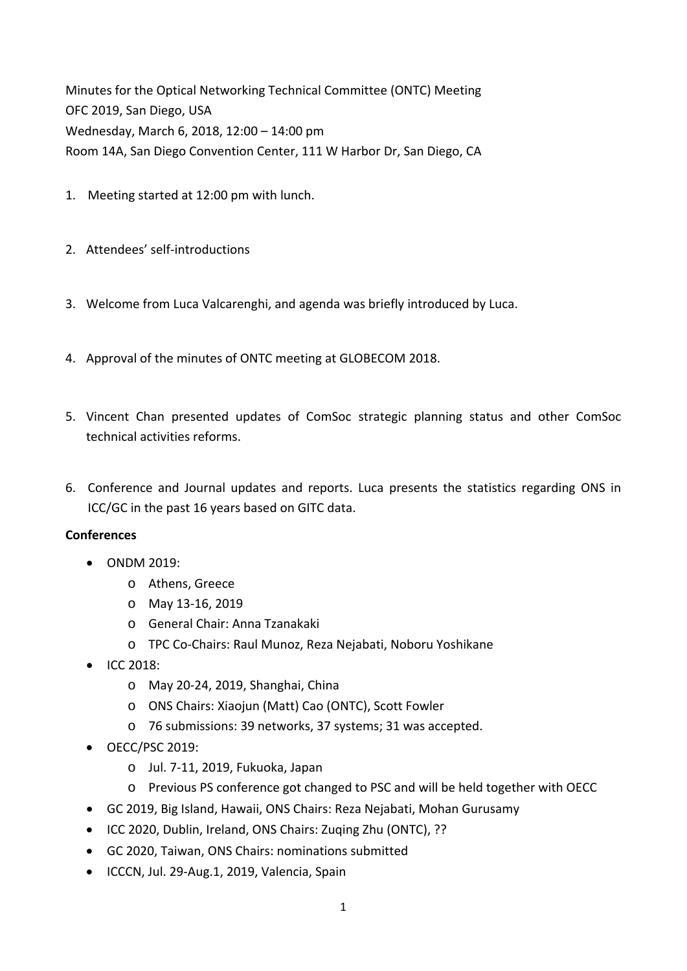Minutes for the Optical Networking Technical Committee (ONTC) Meeting OFC 2019, San Diego, USA Wednesday, March 6, 2018, 12:00 – 14:00 pm Room 14A, San Diego Convention Center, 111 W Harbor Dr, San Diego, CA

- 1. Meeting started at 12:00 pm with lunch.
- 2. Attendees' self-introductions
- 3. Welcome from Luca Valcarenghi, and agenda was briefly introduced by Luca.
- 4. Approval of the minutes of ONTC meeting at GLOBECOM 2018.
- 5. Vincent Chan presented updates of ComSoc strategic planning status and other ComSoc technical activities reforms.
- 6. Conference and Journal updates and reports. Luca presents the statistics regarding ONS in ICC/GC in the past 16 years based on GITC data.

## **Conferences**

- ONDM 2019:
	- o Athens, Greece
	- o May 13‐16, 2019
	- o General Chair: Anna Tzanakaki
	- o TPC Co‐Chairs: Raul Munoz, Reza Nejabati, Noboru Yoshikane
- ICC 2018:
	- o May 20‐24, 2019, Shanghai, China
	- o ONS Chairs: Xiaojun (Matt) Cao (ONTC), Scott Fowler
	- o 76 submissions: 39 networks, 37 systems; 31 was accepted.
- OECC/PSC 2019:
	- o Jul. 7‐11, 2019, Fukuoka, Japan
	- o Previous PS conference got changed to PSC and will be held together with OECC
- GC 2019, Big Island, Hawaii, ONS Chairs: Reza Nejabati, Mohan Gurusamy
- ICC 2020, Dublin, Ireland, ONS Chairs: Zuging Zhu (ONTC), ??
- GC 2020, Taiwan, ONS Chairs: nominations submitted
- ICCCN, Jul. 29-Aug.1, 2019, Valencia, Spain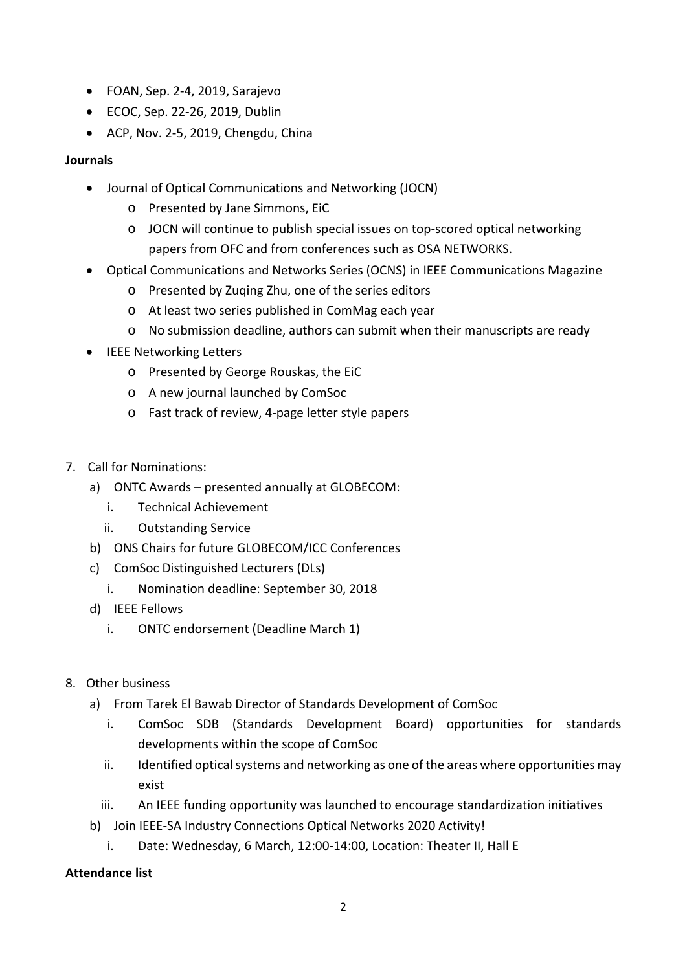- FOAN, Sep. 2‐4, 2019, Sarajevo
- ECOC, Sep. 22-26, 2019, Dublin
- ACP, Nov. 2-5, 2019, Chengdu, China

## **Journals**

- Journal of Optical Communications and Networking (JOCN)
	- o Presented by Jane Simmons, EiC
	- o JOCN will continue to publish special issues on top‐scored optical networking papers from OFC and from conferences such as OSA NETWORKS.
- Optical Communications and Networks Series (OCNS) in IEEE Communications Magazine
	- o Presented by Zuqing Zhu, one of the series editors
	- o At least two series published in ComMag each year
	- o No submission deadline, authors can submit when their manuscripts are ready
- IEEE Networking Letters
	- o Presented by George Rouskas, the EiC
	- o A new journal launched by ComSoc
	- o Fast track of review, 4‐page letter style papers
- 7. Call for Nominations:
	- a) ONTC Awards presented annually at GLOBECOM:
		- i. Technical Achievement
		- ii. Outstanding Service
	- b) ONS Chairs for future GLOBECOM/ICC Conferences
	- c) ComSoc Distinguished Lecturers (DLs)
		- i. Nomination deadline: September 30, 2018
	- d) IEEE Fellows
		- i. ONTC endorsement (Deadline March 1)
- 8. Other business
	- a) From Tarek El Bawab Director of Standards Development of ComSoc
		- i. ComSoc SDB (Standards Development Board) opportunities for standards developments within the scope of ComSoc
		- ii. Identified optical systems and networking as one of the areas where opportunities may exist
		- iii. An IEEE funding opportunity was launched to encourage standardization initiatives
	- b) Join IEEE‐SA Industry Connections Optical Networks 2020 Activity!
		- i. Date: Wednesday, 6 March, 12:00‐14:00, Location: Theater II, Hall E

## **Attendance list**